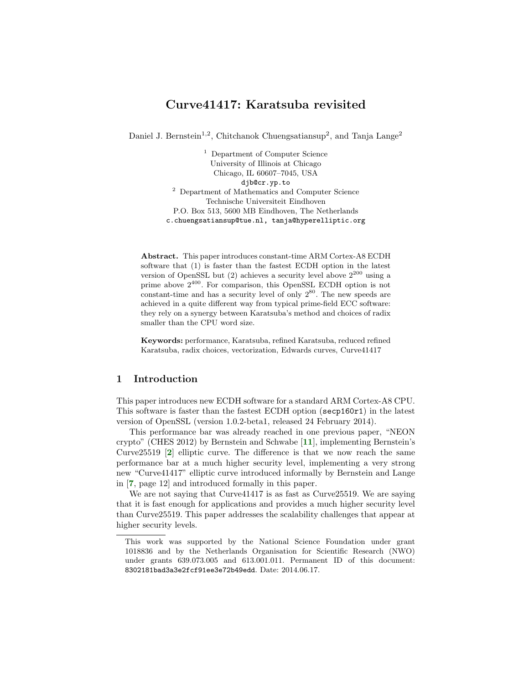# Curve41417: Karatsuba revisited

Daniel J. Bernstein<sup>1,2</sup>, Chitchanok Chuengsatiansup<sup>2</sup>, and Tanja Lange<sup>2</sup>

<sup>1</sup> Department of Computer Science University of Illinois at Chicago Chicago, IL 60607–7045, USA djb@cr.yp.to <sup>2</sup> Department of Mathematics and Computer Science Technische Universiteit Eindhoven P.O. Box 513, 5600 MB Eindhoven, The Netherlands c.chuengsatiansup@tue.nl, tanja@hyperelliptic.org

Abstract. This paper introduces constant-time ARM Cortex-A8 ECDH software that (1) is faster than the fastest ECDH option in the latest version of OpenSSL but (2) achieves a security level above  $2^{200}$  using a prime above 2<sup>400</sup>. For comparison, this OpenSSL ECDH option is not constant-time and has a security level of only  $2^{80}$ . The new speeds are achieved in a quite different way from typical prime-field ECC software: they rely on a synergy between Karatsuba's method and choices of radix smaller than the CPU word size.

Keywords: performance, Karatsuba, refined Karatsuba, reduced refined Karatsuba, radix choices, vectorization, Edwards curves, Curve41417

### 1 Introduction

This paper introduces new ECDH software for a standard ARM Cortex-A8 CPU. This software is faster than the fastest ECDH option (secp160r1) in the latest version of OpenSSL (version 1.0.2-beta1, released 24 February 2014).

<span id="page-0-2"></span><span id="page-0-0"></span>This performance bar was already reached in one previous paper, "NEON crypto" (CHES 2012) by Bernstein and Schwabe [[11](#page-15-0)], implementing Bernstein's Curve25519 [[2](#page-14-0)] elliptic curve. The difference is that we now reach the same performance bar at a much higher security level, implementing a very strong new "Curve41417" elliptic curve introduced informally by Bernstein and Lange in [[7](#page-14-1), page 12] and introduced formally in this paper.

<span id="page-0-1"></span>We are not saying that Curve41417 is as fast as Curve25519. We are saying that it is fast enough for applications and provides a much higher security level than Curve25519. This paper addresses the scalability challenges that appear at higher security levels.

This work was supported by the National Science Foundation under grant 1018836 and by the Netherlands Organisation for Scientific Research (NWO) under grants 639.073.005 and 613.001.011. Permanent ID of this document: 8302181bad3a3e2fcf91ee3e72b49edd. Date: 2014.06.17.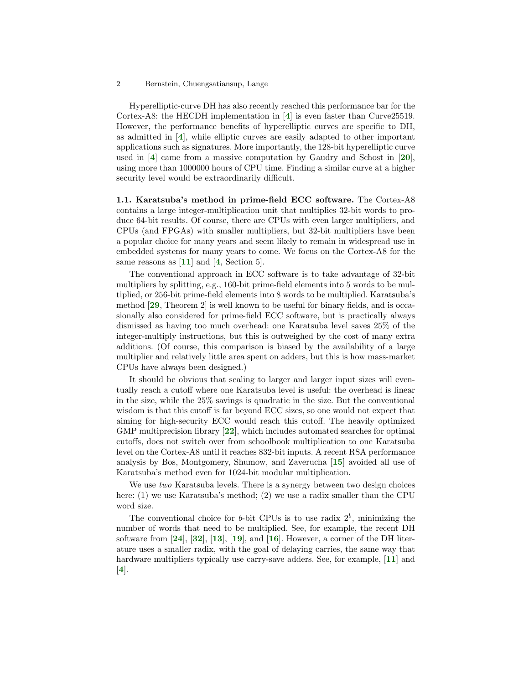<span id="page-1-1"></span><span id="page-1-0"></span>Hyperelliptic-curve DH has also recently reached this performance bar for the Cortex-A8: the HECDH implementation in [[4](#page-14-2)] is even faster than Curve25519. However, the performance benefits of hyperelliptic curves are specific to DH, as admitted in [[4](#page-14-2)], while elliptic curves are easily adapted to other important applications such as signatures. More importantly, the 128-bit hyperelliptic curve used in [[4](#page-14-2)] came from a massive computation by Gaudry and Schost in [[20](#page-15-1)], using more than 1000000 hours of CPU time. Finding a similar curve at a higher security level would be extraordinarily difficult.

<span id="page-1-11"></span><span id="page-1-2"></span>1.1. Karatsuba's method in prime-field ECC software. The Cortex-A8 contains a large integer-multiplication unit that multiplies 32-bit words to produce 64-bit results. Of course, there are CPUs with even larger multipliers, and CPUs (and FPGAs) with smaller multipliers, but 32-bit multipliers have been a popular choice for many years and seem likely to remain in widespread use in embedded systems for many years to come. We focus on the Cortex-A8 for the same reasons as  $[11]$  $[11]$  $[11]$  and  $[4, Section 5]$  $[4, Section 5]$  $[4, Section 5]$ .

<span id="page-1-14"></span><span id="page-1-5"></span><span id="page-1-3"></span>The conventional approach in ECC software is to take advantage of 32-bit multipliers by splitting, e.g., 160-bit prime-field elements into 5 words to be multiplied, or 256-bit prime-field elements into 8 words to be multiplied. Karatsuba's method [[29](#page-16-0), Theorem 2] is well known to be useful for binary fields, and is occasionally also considered for prime-field ECC software, but is practically always dismissed as having too much overhead: one Karatsuba level saves 25% of the integer-multiply instructions, but this is outweighed by the cost of many extra additions. (Of course, this comparison is biased by the availability of a large multiplier and relatively little area spent on adders, but this is how mass-market CPUs have always been designed.)

<span id="page-1-12"></span>It should be obvious that scaling to larger and larger input sizes will eventually reach a cutoff where one Karatsuba level is useful: the overhead is linear in the size, while the 25% savings is quadratic in the size. But the conventional wisdom is that this cutoff is far beyond ECC sizes, so one would not expect that aiming for high-security ECC would reach this cutoff. The heavily optimized GMP multiprecision library [[22](#page-15-2)], which includes automated searches for optimal cutoffs, does not switch over from schoolbook multiplication to one Karatsuba level on the Cortex-A8 until it reaches 832-bit inputs. A recent RSA performance analysis by Bos, Montgomery, Shumow, and Zaverucha [[15](#page-15-3)] avoided all use of Karatsuba's method even for 1024-bit modular multiplication.

<span id="page-1-8"></span>We use two Karatsuba levels. There is a synergy between two design choices here: (1) we use Karatsuba's method; (2) we use a radix smaller than the CPU word size.

<span id="page-1-15"></span><span id="page-1-13"></span><span id="page-1-10"></span><span id="page-1-9"></span><span id="page-1-7"></span><span id="page-1-6"></span><span id="page-1-4"></span>The conventional choice for *b*-bit CPUs is to use radix  $2^b$ , minimizing the number of words that need to be multiplied. See, for example, the recent DH software from  $[24]$  $[24]$  $[24]$ ,  $[32]$  $[32]$  $[32]$ ,  $[13]$  $[13]$  $[13]$ ,  $[19]$  $[19]$  $[19]$ , and  $[16]$  $[16]$  $[16]$ . However, a corner of the DH literature uses a smaller radix, with the goal of delaying carries, the same way that hardware multipliers typically use carry-save adders. See, for example, [[11](#page-15-0)] and [[4](#page-14-2)].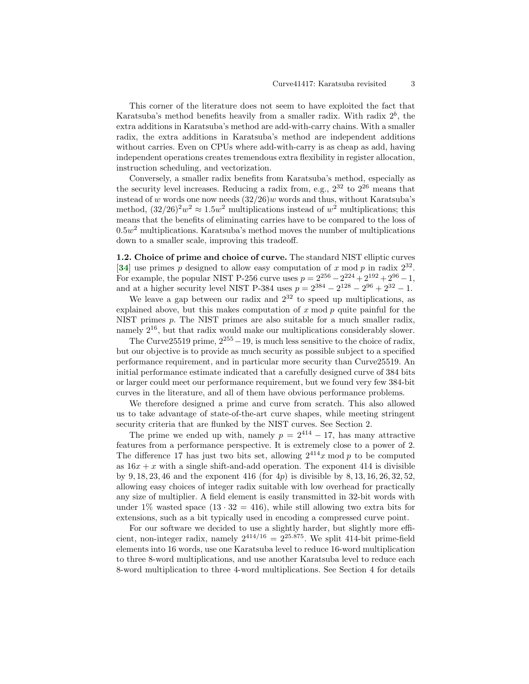This corner of the literature does not seem to have exploited the fact that Karatsuba's method benefits heavily from a smaller radix. With radix  $2<sup>b</sup>$ , the extra additions in Karatsuba's method are add-with-carry chains. With a smaller radix, the extra additions in Karatsuba's method are independent additions without carries. Even on CPUs where add-with-carry is as cheap as add, having independent operations creates tremendous extra flexibility in register allocation, instruction scheduling, and vectorization.

Conversely, a smaller radix benefits from Karatsuba's method, especially as the security level increases. Reducing a radix from, e.g.,  $2^{32}$  to  $2^{26}$  means that instead of w words one now needs  $(32/26)w$  words and thus, without Karatsuba's method,  $(32/26)^2 w^2 \approx 1.5w^2$  multiplications instead of  $w^2$  multiplications; this means that the benefits of eliminating carries have to be compared to the loss of  $0.5w<sup>2</sup>$  multiplications. Karatsuba's method moves the number of multiplications down to a smaller scale, improving this tradeoff.

<span id="page-2-0"></span>1.2. Choice of prime and choice of curve. The standard NIST elliptic curves [[34](#page-16-3)] use primes p designed to allow easy computation of x mod p in radix  $2^{32}$ . For example, the popular NIST P-256 curve uses  $p = 2^{256} - 2^{224} + 2^{192} + 2^{96} - 1$ , and at a higher security level NIST P-384 uses  $p = 2^{384} - 2^{128} - 2^{96} + 2^{32} - 1$ .

We leave a gap between our radix and  $2^{32}$  to speed up multiplications, as explained above, but this makes computation of  $x \mod p$  quite painful for the NIST primes p. The NIST primes are also suitable for a much smaller radix, namely 216, but that radix would make our multiplications considerably slower.

The Curve25519 prime,  $2^{255} - 19$ , is much less sensitive to the choice of radix, but our objective is to provide as much security as possible subject to a specified performance requirement, and in particular more security than Curve25519. An initial performance estimate indicated that a carefully designed curve of 384 bits or larger could meet our performance requirement, but we found very few 384-bit curves in the literature, and all of them have obvious performance problems.

We therefore designed a prime and curve from scratch. This also allowed us to take advantage of state-of-the-art curve shapes, while meeting stringent security criteria that are flunked by the NIST curves. See Section 2.

The prime we ended up with, namely  $p = 2^{414} - 17$ , has many attractive features from a performance perspective. It is extremely close to a power of 2. The difference 17 has just two bits set, allowing  $2^{414}x \mod p$  to be computed as  $16x + x$  with a single shift-and-add operation. The exponent 414 is divisible by  $9, 18, 23, 46$  and the exponent  $416$  (for  $4p$ ) is divisible by  $8, 13, 16, 26, 32, 52,$ allowing easy choices of integer radix suitable with low overhead for practically any size of multiplier. A field element is easily transmitted in 32-bit words with under 1% wasted space  $(13 \cdot 32 = 416)$ , while still allowing two extra bits for extensions, such as a bit typically used in encoding a compressed curve point.

For our software we decided to use a slightly harder, but slightly more efficient, non-integer radix, namely  $2^{414/16} = 2^{25.875}$ . We split 414-bit prime-field elements into 16 words, use one Karatsuba level to reduce 16-word multiplication to three 8-word multiplications, and use another Karatsuba level to reduce each 8-word multiplication to three 4-word multiplications. See Section 4 for details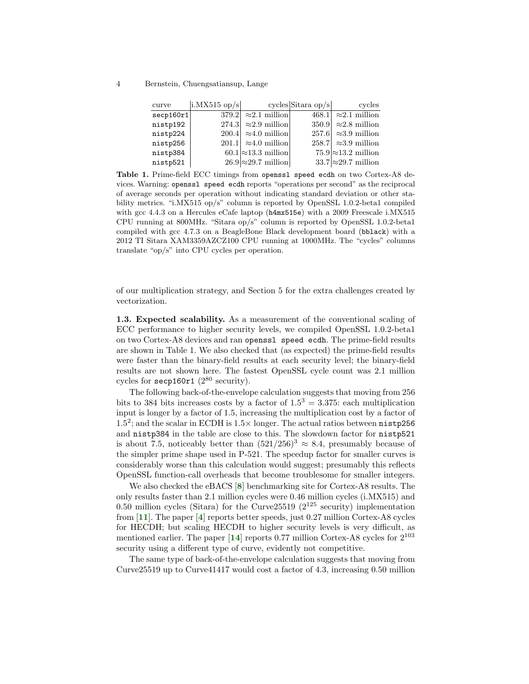4 Bernstein, Chuengsatiansup, Lange

| curve    | $ \text{i.MX515 op/s} $ cycles Sitara op/s |                               | cycles                      |
|----------|--------------------------------------------|-------------------------------|-----------------------------|
| seq160r1 |                                            | 379.2 $\approx$ 2.1 million   | 468.1 $\approx$ 2.1 million |
| nistp192 |                                            | $274.3 \approx 2.9$ million   | $350.9 \approx 2.8$ million |
| nistp224 |                                            | $200.4$ $\approx 4.0$ million | 257.6 $\approx$ 3.9 million |
| nistp256 |                                            | 201.1 $\approx 4.0$ million   | 258.7 $\approx$ 3.9 million |
| nistp384 |                                            | $60.1 \approx 13.3$ million   | $75.9 \approx 13.2$ million |
| nistp521 |                                            | $26.9 \approx 29.7$ million   | $33.7 \approx 29.7$ million |
|          |                                            |                               |                             |

Table 1. Prime-field ECC timings from openssl speed ecdh on two Cortex-A8 devices. Warning: openssl speed ecdh reports "operations per second" as the reciprocal of average seconds per operation without indicating standard deviation or other stability metrics. "i.MX515 op/s" column is reported by OpenSSL 1.0.2-beta1 compiled with gcc 4.4.3 on a Hercules eCafe laptop (h4mx515e) with a 2009 Freescale i.MX515 CPU running at 800MHz. "Sitara op/s" column is reported by OpenSSL 1.0.2-beta1 compiled with gcc 4.7.3 on a BeagleBone Black development board (bblack) with a 2012 TI Sitara XAM3359AZCZ100 CPU running at 1000MHz. The "cycles" columns translate "op/s" into CPU cycles per operation.

of our multiplication strategy, and Section 5 for the extra challenges created by vectorization.

1.3. Expected scalability. As a measurement of the conventional scaling of ECC performance to higher security levels, we compiled OpenSSL 1.0.2-beta1 on two Cortex-A8 devices and ran openssl speed ecdh. The prime-field results are shown in Table 1. We also checked that (as expected) the prime-field results were faster than the binary-field results at each security level; the binary-field results are not shown here. The fastest OpenSSL cycle count was 2.1 million cycles for  $\secp 160r1$  ( $2^{80}$  security).

The following back-of-the-envelope calculation suggests that moving from 256 bits to 384 bits increases costs by a factor of  $1.5^3 = 3.375$ : each multiplication input is longer by a factor of 1.5, increasing the multiplication cost by a factor of 1.5<sup>2</sup>; and the scalar in ECDH is 1.5 $\times$  longer. The actual ratios between nistp256 and nistp384 in the table are close to this. The slowdown factor for nistp521 is about 7.5, noticeably better than  $(521/256)^3 \approx 8.4$ , presumably because of the simpler prime shape used in P-521. The speedup factor for smaller curves is considerably worse than this calculation would suggest; presumably this reflects OpenSSL function-call overheads that become troublesome for smaller integers.

<span id="page-3-2"></span><span id="page-3-1"></span><span id="page-3-0"></span>We also checked the eBACS [[8](#page-14-3)] benchmarking site for Cortex-A8 results. The only results faster than 2.1 million cycles were 0.46 million cycles (i.MX515) and 0.50 million cycles (Sitara) for the Curve 25519 ( $2^{125}$  security) implementation from  $[11]$  $[11]$  $[11]$ . The paper  $[4]$  $[4]$  $[4]$  reports better speeds, just 0.27 million Cortex-A8 cycles for HECDH; but scaling HECDH to higher security levels is very difficult, as mentioned earlier. The paper  $[14]$  $[14]$  $[14]$  reports 0.77 million Cortex-A8 cycles for  $2^{103}$ security using a different type of curve, evidently not competitive.

<span id="page-3-3"></span>The same type of back-of-the-envelope calculation suggests that moving from Curve25519 up to Curve41417 would cost a factor of 4.3, increasing 0.50 million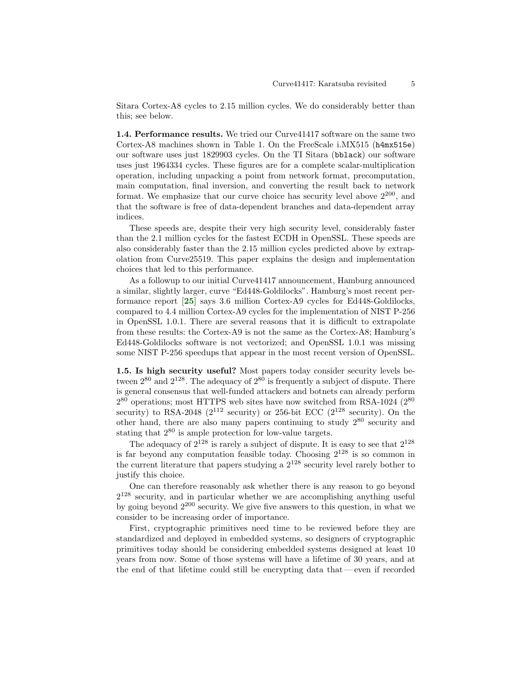Sitara Cortex-A8 cycles to 2.15 million cycles. We do considerably better than this; see below.

1.4. Performance results. We tried our Curve41417 software on the same two Cortex-A8 machines shown in Table 1. On the FreeScale i.MX515 (h4mx515e) our software uses just 1829903 cycles. On the TI Sitara (bblack) our software uses just 1964334 cycles. These figures are for a complete scalar-multiplication operation, including unpacking a point from network format, precomputation, main computation, final inversion, and converting the result back to network format. We emphasize that our curve choice has security level above  $2^{200}$ , and that the software is free of data-dependent branches and data-dependent array indices.

These speeds are, despite their very high security level, considerably faster than the 2.1 million cycles for the fastest ECDH in OpenSSL. These speeds are also considerably faster than the 2.15 million cycles predicted above by extrapolation from Curve25519. This paper explains the design and implementation choices that led to this performance.

<span id="page-4-0"></span>As a followup to our initial Curve41417 announcement, Hamburg announced a similar, slightly larger, curve "Ed448-Goldilocks". Hamburg's most recent performance report [[25](#page-16-4)] says 3.6 million Cortex-A9 cycles for Ed448-Goldilocks, compared to 4.4 million Cortex-A9 cycles for the implementation of NIST P-256 in OpenSSL 1.0.1. There are several reasons that it is difficult to extrapolate from these results: the Cortex-A9 is not the same as the Cortex-A8; Hamburg's Ed448-Goldilocks software is not vectorized; and OpenSSL 1.0.1 was missing some NIST P-256 speedups that appear in the most recent version of OpenSSL.

1.5. Is high security useful? Most papers today consider security levels between  $2^{80}$  and  $2^{128}$ . The adequacy of  $2^{80}$  is frequently a subject of dispute. There is general consensus that well-funded attackers and botnets can already perform  $2^{80}$  operations; most HTTPS web sites have now switched from RSA-1024 ( $2^{80}$ ) security) to RSA-2048 ( $2^{112}$  security) or 256-bit ECC ( $2^{128}$  security). On the other hand, there are also many papers continuing to study 2<sup>80</sup> security and stating that 2<sup>80</sup> is ample protection for low-value targets.

The adequacy of  $2^{128}$  is rarely a subject of dispute. It is easy to see that  $2^{128}$ is far beyond any computation feasible today. Choosing  $2^{128}$  is so common in the current literature that papers studying a  $2^{128}$  security level rarely bother to justify this choice.

One can therefore reasonably ask whether there is any reason to go beyond  $2^{128}$  security, and in particular whether we are accomplishing anything useful by going beyond  $2^{200}$  security. We give five answers to this question, in what we consider to be increasing order of importance.

First, cryptographic primitives need time to be reviewed before they are standardized and deployed in embedded systems, so designers of cryptographic primitives today should be considering embedded systems designed at least 10 years from now. Some of those systems will have a lifetime of 30 years, and at the end of that lifetime could still be encrypting data that— even if recorded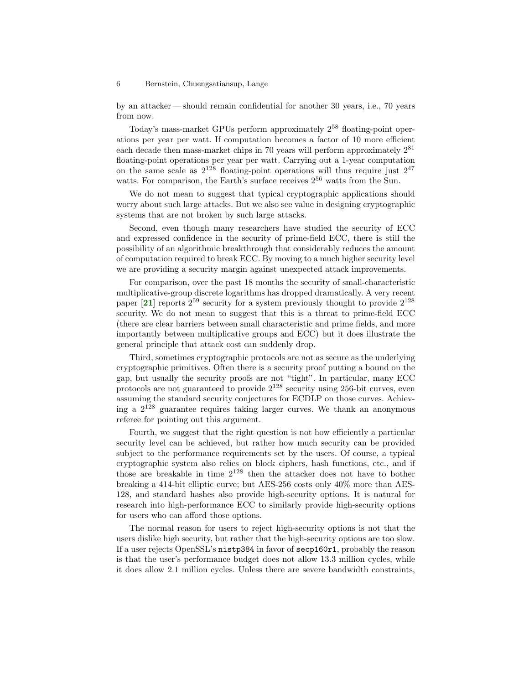by an attacker — should remain confidential for another 30 years, i.e., 70 years from now.

Today's mass-market GPUs perform approximately 2<sup>58</sup> floating-point operations per year per watt. If computation becomes a factor of 10 more efficient each decade then mass-market chips in 70 years will perform approximately  $2^{81}$ floating-point operations per year per watt. Carrying out a 1-year computation on the same scale as  $2^{128}$  floating-point operations will thus require just  $2^{47}$ watts. For comparison, the Earth's surface receives  $2^{56}$  watts from the Sun.

We do not mean to suggest that typical cryptographic applications should worry about such large attacks. But we also see value in designing cryptographic systems that are not broken by such large attacks.

Second, even though many researchers have studied the security of ECC and expressed confidence in the security of prime-field ECC, there is still the possibility of an algorithmic breakthrough that considerably reduces the amount of computation required to break ECC. By moving to a much higher security level we are providing a security margin against unexpected attack improvements.

<span id="page-5-0"></span>For comparison, over the past 18 months the security of small-characteristic multiplicative-group discrete logarithms has dropped dramatically. A very recent paper  $[21]$  $[21]$  $[21]$  reports  $2^{59}$  security for a system previously thought to provide  $2^{128}$ security. We do not mean to suggest that this is a threat to prime-field ECC (there are clear barriers between small characteristic and prime fields, and more importantly between multiplicative groups and ECC) but it does illustrate the general principle that attack cost can suddenly drop.

Third, sometimes cryptographic protocols are not as secure as the underlying cryptographic primitives. Often there is a security proof putting a bound on the gap, but usually the security proofs are not "tight". In particular, many ECC protocols are not guaranteed to provide  $2^{128}$  security using 256-bit curves, even assuming the standard security conjectures for ECDLP on those curves. Achieving a  $2^{128}$  guarantee requires taking larger curves. We thank an anonymous referee for pointing out this argument.

Fourth, we suggest that the right question is not how efficiently a particular security level can be achieved, but rather how much security can be provided subject to the performance requirements set by the users. Of course, a typical cryptographic system also relies on block ciphers, hash functions, etc., and if those are breakable in time  $2^{128}$  then the attacker does not have to bother breaking a 414-bit elliptic curve; but AES-256 costs only 40% more than AES-128, and standard hashes also provide high-security options. It is natural for research into high-performance ECC to similarly provide high-security options for users who can afford those options.

The normal reason for users to reject high-security options is not that the users dislike high security, but rather that the high-security options are too slow. If a user rejects OpenSSL's nistp384 in favor of secp160r1, probably the reason is that the user's performance budget does not allow 13.3 million cycles, while it does allow 2.1 million cycles. Unless there are severe bandwidth constraints,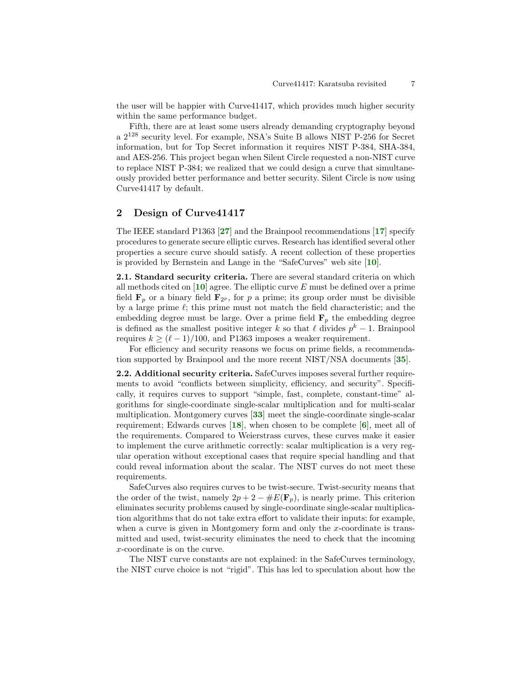the user will be happier with Curve41417, which provides much higher security within the same performance budget.

Fifth, there are at least some users already demanding cryptography beyond a 2<sup>128</sup> security level. For example, NSA's Suite B allows NIST P-256 for Secret information, but for Top Secret information it requires NIST P-384, SHA-384, and AES-256. This project began when Silent Circle requested a non-NIST curve to replace NIST P-384; we realized that we could design a curve that simultaneously provided better performance and better security. Silent Circle is now using Curve41417 by default.

# 2 Design of Curve41417

<span id="page-6-5"></span><span id="page-6-3"></span>The IEEE standard P1363 [[27](#page-16-5)] and the Brainpool recommendations [[17](#page-15-9)] specify procedures to generate secure elliptic curves. Research has identified several other properties a secure curve should satisfy. A recent collection of these properties is provided by Bernstein and Lange in the "SafeCurves" web site [[10](#page-15-10)].

<span id="page-6-2"></span><span id="page-6-1"></span>2.1. Standard security criteria. There are several standard criteria on which all methods cited on  $[10]$  $[10]$  $[10]$  agree. The elliptic curve E must be defined over a prime field  $\mathbf{F}_p$  or a binary field  $\mathbf{F}_{2^p}$ , for p a prime; its group order must be divisible by a large prime  $\ell$ ; this prime must not match the field characteristic; and the embedding degree must be large. Over a prime field  $\mathbf{F}_p$  the embedding degree is defined as the smallest positive integer k so that  $\ell$  divides  $p^k - 1$ . Brainpool requires  $k \geq (\ell - 1)/100$ , and P1363 imposes a weaker requirement.

<span id="page-6-7"></span>For efficiency and security reasons we focus on prime fields, a recommendation supported by Brainpool and the more recent NIST/NSA documents [[35](#page-16-6)].

<span id="page-6-6"></span><span id="page-6-4"></span><span id="page-6-0"></span>2.2. Additional security criteria. SafeCurves imposes several further requirements to avoid "conflicts between simplicity, efficiency, and security". Specifically, it requires curves to support "simple, fast, complete, constant-time" algorithms for single-coordinate single-scalar multiplication and for multi-scalar multiplication. Montgomery curves [[33](#page-16-7)] meet the single-coordinate single-scalar requirement; Edwards curves  $[18]$  $[18]$  $[18]$ , when chosen to be complete  $[6]$  $[6]$  $[6]$ , meet all of the requirements. Compared to Weierstrass curves, these curves make it easier to implement the curve arithmetic correctly: scalar multiplication is a very regular operation without exceptional cases that require special handling and that could reveal information about the scalar. The NIST curves do not meet these requirements.

SafeCurves also requires curves to be twist-secure. Twist-security means that the order of the twist, namely  $2p + 2 - \#E(\mathbf{F}_p)$ , is nearly prime. This criterion eliminates security problems caused by single-coordinate single-scalar multiplication algorithms that do not take extra effort to validate their inputs: for example, when a curve is given in Montgomery form and only the x-coordinate is transmitted and used, twist-security eliminates the need to check that the incoming x-coordinate is on the curve.

The NIST curve constants are not explained: in the SafeCurves terminology, the NIST curve choice is not "rigid". This has led to speculation about how the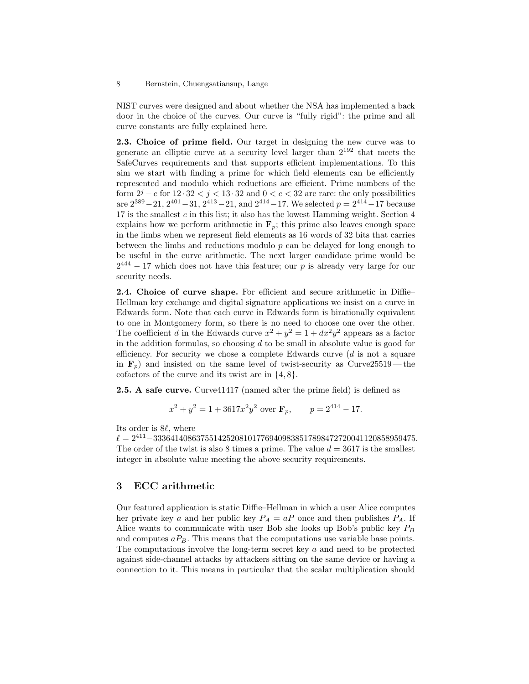NIST curves were designed and about whether the NSA has implemented a back door in the choice of the curves. Our curve is "fully rigid": the prime and all curve constants are fully explained here.

2.3. Choice of prime field. Our target in designing the new curve was to generate an elliptic curve at a security level larger than 2<sup>192</sup> that meets the SafeCurves requirements and that supports efficient implementations. To this aim we start with finding a prime for which field elements can be efficiently represented and modulo which reductions are efficient. Prime numbers of the form  $2^j - c$  for  $12 \cdot 32 < j < 13 \cdot 32$  and  $0 < c < 32$  are rare: the only possibilities are  $2^{389} - 21$ ,  $2^{401} - 31$ ,  $2^{413} - 21$ , and  $2^{414} - 17$ . We selected  $p = 2^{414} - 17$  because 17 is the smallest  $c$  in this list; it also has the lowest Hamming weight. Section  $4$ explains how we perform arithmetic in  $\mathbf{F}_p$ ; this prime also leaves enough space in the limbs when we represent field elements as 16 words of 32 bits that carries between the limbs and reductions modulo  $p$  can be delayed for long enough to be useful in the curve arithmetic. The next larger candidate prime would be  $2^{444} - 17$  which does not have this feature; our p is already very large for our security needs.

2.4. Choice of curve shape. For efficient and secure arithmetic in Diffie– Hellman key exchange and digital signature applications we insist on a curve in Edwards form. Note that each curve in Edwards form is birationally equivalent to one in Montgomery form, so there is no need to choose one over the other. The coefficient d in the Edwards curve  $x^2 + y^2 = 1 + dx^2y^2$  appears as a factor in the addition formulas, so choosing  $d$  to be small in absolute value is good for efficiency. For security we chose a complete Edwards curve  $(d \text{ is not a square})$ in  $\mathbf{F}_p$ ) and insisted on the same level of twist-security as Curve 25519 — the cofactors of the curve and its twist are in  $\{4, 8\}.$ 

**2.5. A safe curve.** Curve41417 (named after the prime field) is defined as

$$
x^2 + y^2 = 1 + 3617x^2y^2
$$
 over  $\mathbf{F}_p$ ,  $p = 2^{414} - 17$ .

Its order is  $8\ell$ , where

 $\ell = 2^{411} - 3336414086375514252081017769409838517898472720041120858959475.$ The order of the twist is also 8 times a prime. The value  $d = 3617$  is the smallest integer in absolute value meeting the above security requirements.

### 3 ECC arithmetic

Our featured application is static Diffie–Hellman in which a user Alice computes her private key a and her public key  $P_A = aP$  once and then publishes  $P_A$ . If Alice wants to communicate with user Bob she looks up Bob's public key  $P_B$ and computes  $aP_B$ . This means that the computations use variable base points. The computations involve the long-term secret key a and need to be protected against side-channel attacks by attackers sitting on the same device or having a connection to it. This means in particular that the scalar multiplication should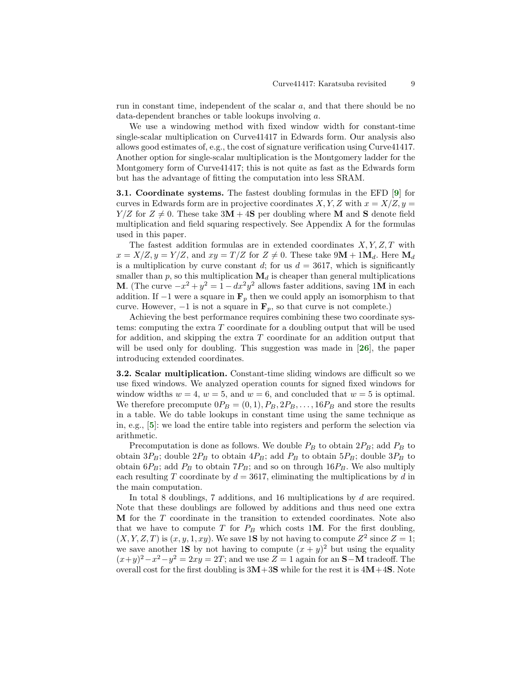run in constant time, independent of the scalar a, and that there should be no data-dependent branches or table lookups involving a.

We use a windowing method with fixed window width for constant-time single-scalar multiplication on Curve41417 in Edwards form. Our analysis also allows good estimates of, e.g., the cost of signature verification using Curve41417. Another option for single-scalar multiplication is the Montgomery ladder for the Montgomery form of Curve41417; this is not quite as fast as the Edwards form but has the advantage of fitting the computation into less SRAM.

<span id="page-8-1"></span>3.1. Coordinate systems. The fastest doubling formulas in the EFD [[9](#page-15-12)] for curves in Edwards form are in projective coordinates  $X, Y, Z$  with  $x = X/Z, y =$  $Y/Z$  for  $Z \neq 0$ . These take  $3M + 4S$  per doubling where M and S denote field multiplication and field squaring respectively. See Appendix A for the formulas used in this paper.

The fastest addition formulas are in extended coordinates  $X, Y, Z, T$  with  $x = X/Z, y = Y/Z$ , and  $xy = T/Z$  for  $Z \neq 0$ . These take  $9M + 1M_d$ . Here  $M_d$ is a multiplication by curve constant d; for us  $d = 3617$ , which is significantly smaller than p, so this multiplication  $\mathbf{M}_d$  is cheaper than general multiplications **M**. (The curve  $-x^2 + y^2 = 1 - dx^2y^2$  allows faster additions, saving 1**M** in each addition. If  $-1$  were a square in  $\mathbf{F}_p$  then we could apply an isomorphism to that curve. However,  $-1$  is not a square in  $\mathbf{F}_p$ , so that curve is not complete.)

<span id="page-8-2"></span>Achieving the best performance requires combining these two coordinate systems: computing the extra T coordinate for a doubling output that will be used for addition, and skipping the extra  $T$  coordinate for an addition output that will be used only for doubling. This suggestion was made in  $[26]$  $[26]$  $[26]$ , the paper introducing extended coordinates.

3.2. Scalar multiplication. Constant-time sliding windows are difficult so we use fixed windows. We analyzed operation counts for signed fixed windows for window widths  $w = 4$ ,  $w = 5$ , and  $w = 6$ , and concluded that  $w = 5$  is optimal. We therefore precompute  $0P_B = (0, 1), P_B, 2P_B, \ldots, 16P_B$  and store the results in a table. We do table lookups in constant time using the same technique as in, e.g., [[5](#page-14-5)]: we load the entire table into registers and perform the selection via arithmetic.

<span id="page-8-0"></span>Precomputation is done as follows. We double  $P_B$  to obtain  $2P_B$ ; add  $P_B$  to obtain  $3P_B$ ; double  $2P_B$  to obtain  $4P_B$ ; add  $P_B$  to obtain  $5P_B$ ; double  $3P_B$  to obtain  $6P_B$ ; add  $P_B$  to obtain  $7P_B$ ; and so on through  $16P_B$ . We also multiply each resulting T coordinate by  $d = 3617$ , eliminating the multiplications by d in the main computation.

In total 8 doublings, 7 additions, and 16 multiplications by d are required. Note that these doublings are followed by additions and thus need one extra  **for the**  $T$  **coordinate in the transition to extended coordinates. Note also** that we have to compute  $T$  for  $P_B$  which costs 1M. For the first doubling,  $(X, Y, Z, T)$  is  $(x, y, 1, xy)$ . We save 1S by not having to compute  $Z^2$  since  $Z = 1$ ; we save another 1S by not having to compute  $(x + y)^2$  but using the equality  $(x+y)^2 - x^2 - y^2 = 2xy = 2T$ ; and we use  $Z = 1$  again for an S-M tradeoff. The overall cost for the first doubling is  $3M+3S$  while for the rest it is  $4M+4S$ . Note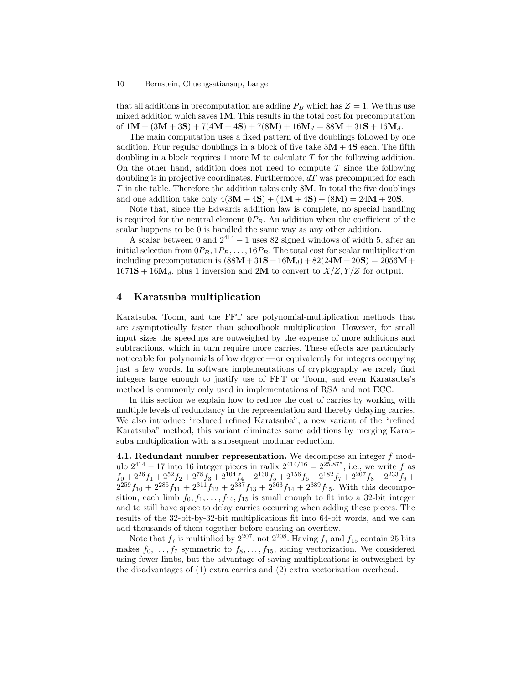that all additions in precomputation are adding  $P_B$  which has  $Z = 1$ . We thus use mixed addition which saves 1M. This results in the total cost for precomputation of  $1M + (3M + 3S) + 7(4M + 4S) + 7(8M) + 16M_d = 88M + 31S + 16M_d$ .

The main computation uses a fixed pattern of five doublings followed by one addition. Four regular doublings in a block of five take  $3M + 4S$  each. The fifth doubling in a block requires 1 more  $\bf{M}$  to calculate T for the following addition. On the other hand, addition does not need to compute  $T$  since the following doubling is in projective coordinates. Furthermore,  $dT$  was precomputed for each  $T$  in the table. Therefore the addition takes only 8 $\mathbf{M}$ . In total the five doublings and one addition take only  $4(3M + 4S) + (4M + 4S) + (8M) = 24M + 20S$ .

Note that, since the Edwards addition law is complete, no special handling is required for the neutral element  $0P_B$ . An addition when the coefficient of the scalar happens to be 0 is handled the same way as any other addition.

A scalar between 0 and  $2^{414} - 1$  uses 82 signed windows of width 5, after an initial selection from  $0P_B$ ,  $1P_B$ , ...,  $16P_B$ . The total cost for scalar multiplication including precomputation is  $(88M + 31S + 16M_d) + 82(24M + 20S) = 2056M +$  $1671S + 16M_d$ , plus 1 inversion and 2M to convert to  $X/Z, Y/Z$  for output.

### 4 Karatsuba multiplication

Karatsuba, Toom, and the FFT are polynomial-multiplication methods that are asymptotically faster than schoolbook multiplication. However, for small input sizes the speedups are outweighed by the expense of more additions and subtractions, which in turn require more carries. These effects are particularly noticeable for polynomials of low degree — or equivalently for integers occupying just a few words. In software implementations of cryptography we rarely find integers large enough to justify use of FFT or Toom, and even Karatsuba's method is commonly only used in implementations of RSA and not ECC.

In this section we explain how to reduce the cost of carries by working with multiple levels of redundancy in the representation and thereby delaying carries. We also introduce "reduced refined Karatsuba", a new variant of the "refined Karatsuba" method; this variant eliminates some additions by merging Karatsuba multiplication with a subsequent modular reduction.

**4.1. Redundant number representation.** We decompose an integer  $f$  modulo  $2^{414} - 17$  into 16 integer pieces in radix  $2^{414/16} = 2^{25.875}$ , i.e., we write f as  $f_0 + 2^{26}f_1 + 2^{52}f_2 + 2^{78}f_3 + 2^{104}f_4 + 2^{130}f_5 + 2^{156}f_6 + 2^{182}f_7 + 2^{207}f_8 + 2^{233}f_9 +$  $2^{259}f_{10} + 2^{285}f_{11} + 2^{311}f_{12} + 2^{337}f_{13} + 2^{363}f_{14} + 2^{389}f_{15}$ . With this decomposition, each limb  $f_0, f_1, \ldots, f_{14}, f_{15}$  is small enough to fit into a 32-bit integer and to still have space to delay carries occurring when adding these pieces. The results of the 32-bit-by-32-bit multiplications fit into 64-bit words, and we can add thousands of them together before causing an overflow.

Note that  $f_7$  is multiplied by  $2^{207}$ , not  $2^{208}$ . Having  $f_7$  and  $f_{15}$  contain 25 bits makes  $f_0, \ldots, f_7$  symmetric to  $f_8, \ldots, f_{15}$ , aiding vectorization. We considered using fewer limbs, but the advantage of saving multiplications is outweighed by the disadvantages of (1) extra carries and (2) extra vectorization overhead.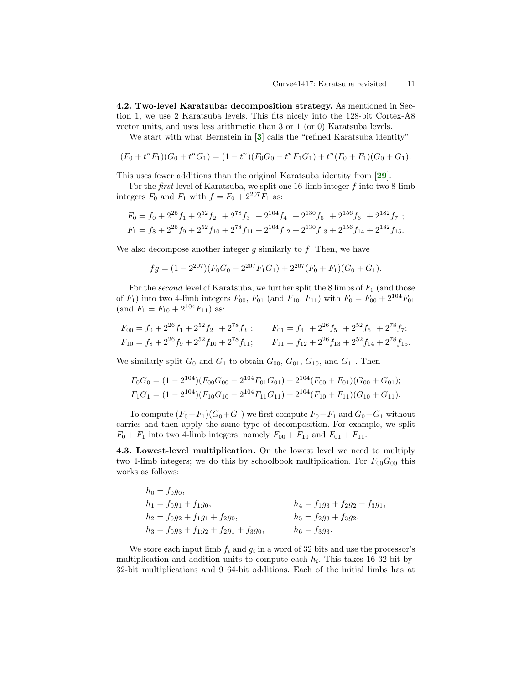4.2. Two-level Karatsuba: decomposition strategy. As mentioned in Section 1, we use 2 Karatsuba levels. This fits nicely into the 128-bit Cortex-A8 vector units, and uses less arithmetic than 3 or 1 (or 0) Karatsuba levels.

<span id="page-10-0"></span>We start with what Bernstein in [[3](#page-14-6)] calls the "refined Karatsuba identity"

$$
(F_0 + t^n F_1)(G_0 + t^n G_1) = (1 - t^n)(F_0 G_0 - t^n F_1 G_1) + t^n (F_0 + F_1)(G_0 + G_1).
$$

This uses fewer additions than the original Karatsuba identity from [[29](#page-16-0)].

For the first level of Karatsuba, we split one 16-limb integer f into two 8-limb integers  $F_0$  and  $F_1$  with  $f = F_0 + 2^{207} F_1$  as:

$$
F_0 = f_0 + 2^{26} f_1 + 2^{52} f_2 + 2^{78} f_3 + 2^{104} f_4 + 2^{130} f_5 + 2^{156} f_6 + 2^{182} f_7 ;
$$
  
\n
$$
F_1 = f_8 + 2^{26} f_9 + 2^{52} f_{10} + 2^{78} f_{11} + 2^{104} f_{12} + 2^{130} f_{13} + 2^{156} f_{14} + 2^{182} f_{15}.
$$

We also decompose another integer  $g$  similarly to  $f$ . Then, we have

<span id="page-10-1"></span>
$$
fg = (1 - 2^{207})(F_0G_0 - 2^{207}F_1G_1) + 2^{207}(F_0 + F_1)(G_0 + G_1).
$$

For the second level of Karatsuba, we further split the 8 limbs of  $F_0$  (and those of  $F_1$ ) into two 4-limb integers  $F_{00}$ ,  $F_{01}$  (and  $F_{10}$ ,  $F_{11}$ ) with  $F_0 = F_{00} + 2^{104}F_{01}$ (and  $F_1 = F_{10} + 2^{104} F_{11}$ ) as:

$$
F_{00} = f_0 + 2^{26} f_1 + 2^{52} f_2 + 2^{78} f_3 ;
$$
  
\n
$$
F_{01} = f_4 + 2^{26} f_5 + 2^{52} f_6 + 2^{78} f_7 ;
$$
  
\n
$$
F_{10} = f_8 + 2^{26} f_9 + 2^{52} f_{10} + 2^{78} f_{11};
$$
  
\n
$$
F_{11} = f_{12} + 2^{26} f_{13} + 2^{52} f_{14} + 2^{78} f_{15}.
$$

We similarly split  $G_0$  and  $G_1$  to obtain  $G_{00}$ ,  $G_{01}$ ,  $G_{10}$ , and  $G_{11}$ . Then

$$
F_0G_0 = (1 - 2^{104})(F_{00}G_{00} - 2^{104}F_{01}G_{01}) + 2^{104}(F_{00} + F_{01})(G_{00} + G_{01});
$$
  
\n
$$
F_1G_1 = (1 - 2^{104})(F_{10}G_{10} - 2^{104}F_{11}G_{11}) + 2^{104}(F_{10} + F_{11})(G_{10} + G_{11}).
$$

To compute  $(F_0+F_1)(G_0+G_1)$  we first compute  $F_0+F_1$  and  $G_0+G_1$  without carries and then apply the same type of decomposition. For example, we split  $F_0 + F_1$  into two 4-limb integers, namely  $F_{00} + F_{10}$  and  $F_{01} + F_{11}$ .

4.3. Lowest-level multiplication. On the lowest level we need to multiply two 4-limb integers; we do this by schoolbook multiplication. For  $F_{00}G_{00}$  this works as follows:

 $h_0 = f_0 q_0$ ,  $h_1 = f_0g_1 + f_1g_0,$ <br>  $h_2 = f_0g_2 + f_1g_1 + f_2g_0,$ <br>  $h_3 = f_2g_3 + f_3g_2,$ <br>  $h_5 = f_2g_3 + f_3g_2,$  $h_2 = f_0 g_2 + f_1 g_1 + f_2 g_0,$  $h_3 = f_0g_3 + f_1g_2 + f_2g_1 + f_3g_0,$   $h_6 = f_3g_3.$ 

We store each input limb  $f_i$  and  $g_i$  in a word of 32 bits and use the processor's multiplication and addition units to compute each  $h_i$ . This takes 16 32-bit-by-32-bit multiplications and 9 64-bit additions. Each of the initial limbs has at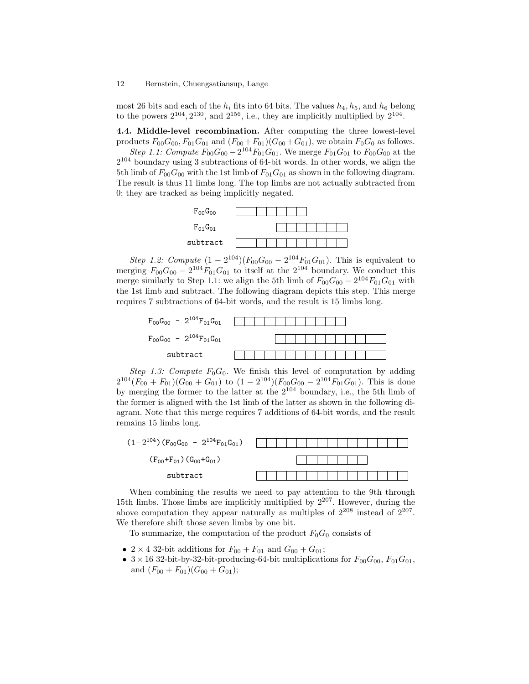most 26 bits and each of the  $h_i$  fits into 64 bits. The values  $h_4$ ,  $h_5$ , and  $h_6$  belong to the powers  $2^{104}$ ,  $2^{130}$ , and  $2^{156}$ , i.e., they are implicitly multiplied by  $2^{104}$ .

4.4. Middle-level recombination. After computing the three lowest-level products  $F_{00}G_{00}$ ,  $F_{01}G_{01}$  and  $(F_{00}+F_{01})(G_{00}+G_{01})$ , we obtain  $F_{0}G_{0}$  as follows.

Step 1.1: Compute  $F_{00}G_{00} - 2^{104}F_{01}G_{01}$ . We merge  $F_{01}G_{01}$  to  $F_{00}G_{00}$  at the 2 <sup>104</sup> boundary using 3 subtractions of 64-bit words. In other words, we align the 5th limb of  $F_{00}G_{00}$  with the 1st limb of  $F_{01}G_{01}$  as shown in the following diagram. The result is thus 11 limbs long. The top limbs are not actually subtracted from 0; they are tracked as being implicitly negated.



Step 1.2: Compute  $(1 - 2^{104}) (F_{00}G_{00} - 2^{104}F_{01}G_{01})$ . This is equivalent to merging  $F_{00}G_{00} - 2^{104}F_{01}G_{01}$  to itself at the  $2^{104}$  boundary. We conduct this merge similarly to Step 1.1: we align the 5th limb of  $F_{00}G_{00} - 2^{104}F_{01}G_{01}$  with the 1st limb and subtract. The following diagram depicts this step. This merge requires 7 subtractions of 64-bit words, and the result is 15 limbs long.



Step 1.3: Compute  $F_0G_0$ . We finish this level of computation by adding  $2^{104}(F_{00}+F_{01})(G_{00}+G_{01})$  to  $(1-2^{104})(F_{00}G_{00}-2^{104}F_{01}G_{01})$ . This is done by merging the former to the latter at the  $2^{104}$  boundary, i.e., the 5th limb of the former is aligned with the 1st limb of the latter as shown in the following diagram. Note that this merge requires 7 additions of 64-bit words, and the result remains 15 limbs long.



When combining the results we need to pay attention to the 9th through 15th limbs. Those limbs are implicitly multiplied by  $2^{207}$ . However, during the above computation they appear naturally as multiples of  $2^{208}$  instead of  $2^{207}$ . We therefore shift those seven limbs by one bit.

To summarize, the computation of the product  $F_0G_0$  consists of

- 2 × 4 32-bit additions for  $F_{00} + F_{01}$  and  $G_{00} + G_{01}$ ;
- $3 \times 16$  32-bit-by-32-bit-producing-64-bit multiplications for  $F_{00}G_{00}$ ,  $F_{01}G_{01}$ , and  $(F_{00} + F_{01})(G_{00} + G_{01});$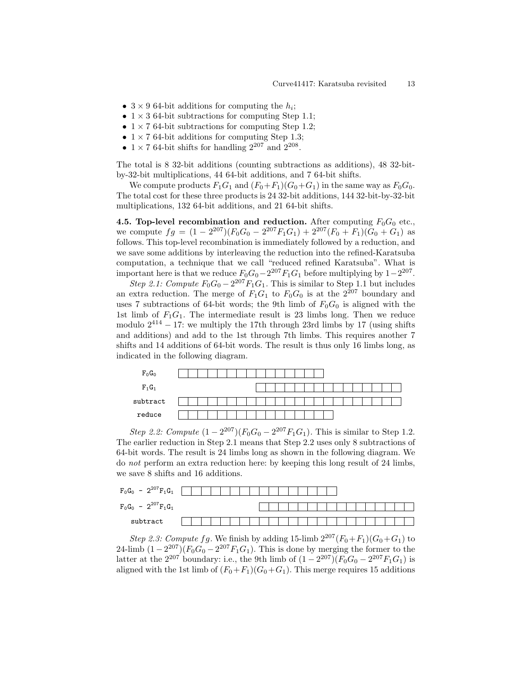- $3 \times 9$  64-bit additions for computing the  $h_i$ ;
- $1 \times 3$  64-bit subtractions for computing Step 1.1;
- $1 \times 7$  64-bit subtractions for computing Step 1.2;
- $1 \times 7$  64-bit additions for computing Step 1.3;
- $1 \times 7$  64-bit shifts for handling  $2^{207}$  and  $2^{208}$ .

The total is 8 32-bit additions (counting subtractions as additions), 48 32-bitby-32-bit multiplications, 44 64-bit additions, and 7 64-bit shifts.

We compute products  $F_1G_1$  and  $(F_0+F_1)(G_0+G_1)$  in the same way as  $F_0G_0$ . The total cost for these three products is 24 32-bit additions, 144 32-bit-by-32-bit multiplications, 132 64-bit additions, and 21 64-bit shifts.

4.5. Top-level recombination and reduction. After computing  $F_0G_0$  etc., we compute  $fg = (1 - 2^{207})(F_0G_0 - 2^{207}F_1G_1) + 2^{207}(F_0 + F_1)(G_0 + G_1)$  as follows. This top-level recombination is immediately followed by a reduction, and we save some additions by interleaving the reduction into the refined-Karatsuba computation, a technique that we call "reduced refined Karatsuba". What is important here is that we reduce  $F_0G_0 - 2^{207}F_1G_1$  before multiplying by  $1-2^{207}$ .

Step 2.1: Compute  $F_0G_0 - 2^{207}F_1G_1$ . This is similar to Step 1.1 but includes an extra reduction. The merge of  $F_1G_1$  to  $F_0G_0$  is at the  $2^{207}$  boundary and uses 7 subtractions of 64-bit words; the 9th limb of  $F_0G_0$  is aligned with the 1st limb of  $F_1G_1$ . The intermediate result is 23 limbs long. Then we reduce modulo  $2^{414} - 17$ : we multiply the 17th through 23rd limbs by 17 (using shifts and additions) and add to the 1st through 7th limbs. This requires another 7 shifts and 14 additions of 64-bit words. The result is thus only 16 limbs long, as indicated in the following diagram.



Step 2.2: Compute  $(1 - 2^{207}) (F_0 G_0 - 2^{207} F_1 G_1)$ . This is similar to Step 1.2. The earlier reduction in Step 2.1 means that Step 2.2 uses only 8 subtractions of 64-bit words. The result is 24 limbs long as shown in the following diagram. We do not perform an extra reduction here: by keeping this long result of 24 limbs, we save 8 shifts and 16 additions.



Step 2.3: Compute fg. We finish by adding 15-limb  $2^{207}(F_0+F_1)(G_0+G_1)$  to 24-limb  $(1 - 2^{207}) (F_0 G_0 - 2^{207} F_1 G_1)$ . This is done by merging the former to the latter at the  $2^{207}$  boundary: i.e., the 9th limb of  $(1 - 2^{207}) (F_0 G_0 - 2^{207} F_1 G_1)$  is aligned with the 1st limb of  $(F_0+F_1)(G_0+G_1)$ . This merge requires 15 additions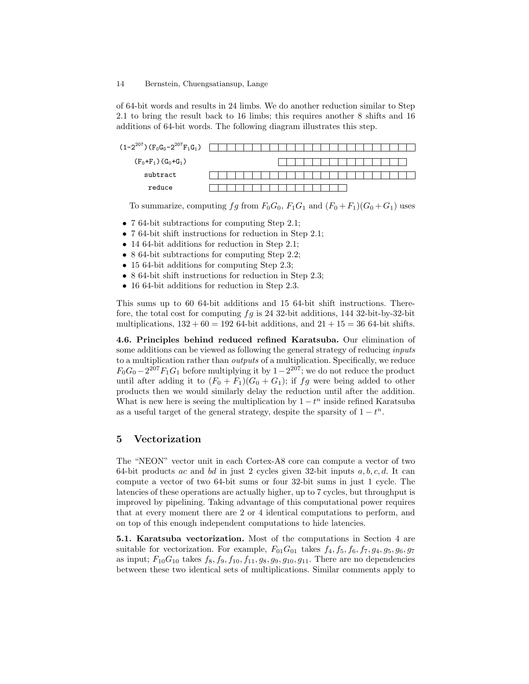of 64-bit words and results in 24 limbs. We do another reduction similar to Step 2.1 to bring the result back to 16 limbs; this requires another 8 shifts and 16 additions of 64-bit words. The following diagram illustrates this step.



To summarize, computing fg from  $F_0G_0$ ,  $F_1G_1$  and  $(F_0 + F_1)(G_0 + G_1)$  uses

- 7 64-bit subtractions for computing Step 2.1;
- 7 64-bit shift instructions for reduction in Step 2.1;
- 14 64-bit additions for reduction in Step 2.1;
- 8 64-bit subtractions for computing Step 2.2;
- 15 64-bit additions for computing Step 2.3;
- 8 64-bit shift instructions for reduction in Step 2.3;
- 16 64-bit additions for reduction in Step 2.3.

This sums up to 60 64-bit additions and 15 64-bit shift instructions. Therefore, the total cost for computing  $fg$  is 24 32-bit additions, 144 32-bit-by-32-bit multiplications,  $132 + 60 = 192$  64-bit additions, and  $21 + 15 = 36$  64-bit shifts.

4.6. Principles behind reduced refined Karatsuba. Our elimination of some additions can be viewed as following the general strategy of reducing *inputs* to a multiplication rather than outputs of a multiplication. Specifically, we reduce  $F_0G_0 - 2^{207}F_1G_1$  before multiplying it by  $1 - 2^{207}$ ; we do not reduce the product until after adding it to  $(F_0 + F_1)(G_0 + G_1)$ ; if  $fg$  were being added to other products then we would similarly delay the reduction until after the addition. What is new here is seeing the multiplication by  $1 - t^n$  inside refined Karatsuba as a useful target of the general strategy, despite the sparsity of  $1 - t^n$ .

### 5 Vectorization

The "NEON" vector unit in each Cortex-A8 core can compute a vector of two 64-bit products ac and bd in just 2 cycles given 32-bit inputs  $a, b, c, d$ . It can compute a vector of two 64-bit sums or four 32-bit sums in just 1 cycle. The latencies of these operations are actually higher, up to 7 cycles, but throughput is improved by pipelining. Taking advantage of this computational power requires that at every moment there are 2 or 4 identical computations to perform, and on top of this enough independent computations to hide latencies.

5.1. Karatsuba vectorization. Most of the computations in Section 4 are suitable for vectorization. For example,  $F_{01}G_{01}$  takes  $f_4, f_5, f_6, f_7, g_4, g_5, g_6, g_7$ as input;  $F_{10}G_{10}$  takes  $f_8, f_9, f_{10}, f_{11}, g_8, g_9, g_{10}, g_{11}$ . There are no dependencies between these two identical sets of multiplications. Similar comments apply to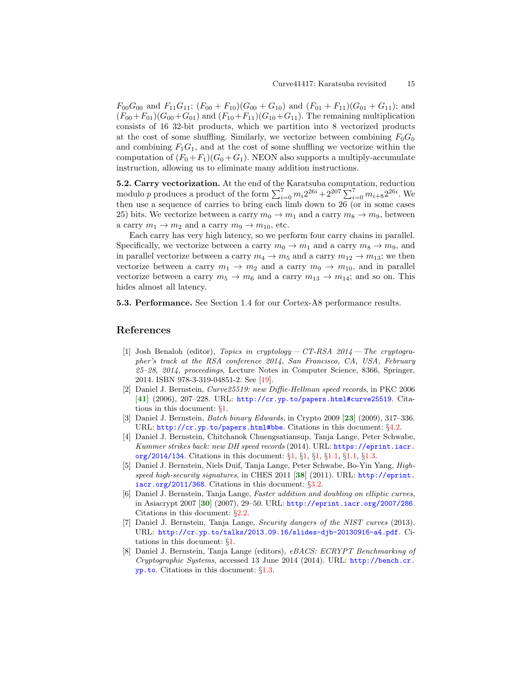$F_{00}G_{00}$  and  $F_{11}G_{11}$ ;  $(F_{00} + F_{10})(G_{00} + G_{10})$  and  $(F_{01} + F_{11})(G_{01} + G_{11})$ ; and  $(F_{00}+F_{01})(G_{00}+G_{01})$  and  $(F_{10}+F_{11})(G_{10}+G_{11})$ . The remaining multiplication consists of 16 32-bit products, which we partition into 8 vectorized products at the cost of some shuffling. Similarly, we vectorize between combining  $F_0G_0$ and combining  $F_1G_1$ , and at the cost of some shuffling we vectorize within the computation of  $(F_0 + F_1)(G_0 + G_1)$ . NEON also supports a multiply-accumulate instruction, allowing us to eliminate many addition instructions.

5.2. Carry vectorization. At the end of the Karatsuba computation, reduction modulo p produces a product of the form  $\sum_{i=0}^{7} m_i 2^{26i} + 2^{207} \sum_{i=0}^{7} m_{i+8} 2^{26i}$ . We then use a sequence of carries to bring each limb down to 26 (or in some cases 25) bits. We vectorize between a carry  $m_0 \to m_1$  and a carry  $m_8 \to m_9$ , between a carry  $m_1 \rightarrow m_2$  and a carry  $m_9 \rightarrow m_{10}$ , etc.

Each carry has very high latency, so we perform four carry chains in parallel. Specifically, we vectorize between a carry  $m_0 \to m_1$  and a carry  $m_8 \to m_9$ , and in parallel vectorize between a carry  $m_4 \to m_5$  and a carry  $m_{12} \to m_{13}$ ; we then vectorize between a carry  $m_1 \rightarrow m_2$  and a carry  $m_9 \rightarrow m_{10}$ , and in parallel vectorize between a carry  $m_5 \rightarrow m_6$  and a carry  $m_{13} \rightarrow m_{14}$ ; and so on. This hides almost all latency.

5.3. Performance. See Section 1.4 for our Cortex-A8 performance results.

### References

- <span id="page-14-7"></span>[1] Josh Benaloh (editor), Topics in cryptology  $-CT$ -RSA 2014  $-$  The cryptographer's track at the RSA conference 2014, San Francisco, CA, USA, February 25–28, 2014, proceedings, Lecture Notes in Computer Science, 8366, Springer, 2014. ISBN 978-3-319-04851-2. See [\[19\]](#page-15-13).
- <span id="page-14-11"></span><span id="page-14-0"></span>[2] Daniel J. Bernstein, Curve25519: new Diffie-Hellman speed records, in PKC 2006 [[41](#page-17-0)] (2006), 207–228. URL: <http://cr.yp.to/papers.html#curve25519>. Citations in this document: §[1.](#page-0-0)
- <span id="page-14-8"></span><span id="page-14-6"></span>[3] Daniel J. Bernstein, Batch binary Edwards, in Crypto 2009 [[23](#page-15-14)] (2009), 317–336. URL: <http://cr.yp.to/papers.html#bbe>. Citations in this document: §[4.2.](#page-10-0)
- <span id="page-14-2"></span>[4] Daniel J. Bernstein, Chitchanok Chuengsatiansup, Tanja Lange, Peter Schwabe, Kummer strikes back: new DH speed records (2014). URL: [https://eprint.iacr.](https://eprint.iacr.org/2014/134) [org/2014/134](https://eprint.iacr.org/2014/134). Citations in this document: §[1](#page-1-0), §[1,](#page-1-1) §[1,](#page-1-2) §[1.1](#page-1-3), §[1.1,](#page-1-4) §[1.3](#page-3-0).
- <span id="page-14-10"></span><span id="page-14-5"></span>[5] Daniel J. Bernstein, Niels Duif, Tanja Lange, Peter Schwabe, Bo-Yin Yang, Highspeed high-security signatures, in CHES 2011 [[38](#page-17-1)] (2011). URL: [http://eprint.](http://eprint.iacr.org/2011/368) [iacr.org/2011/368](http://eprint.iacr.org/2011/368). Citations in this document: §[3.2.](#page-8-0)
- <span id="page-14-9"></span><span id="page-14-4"></span>[6] Daniel J. Bernstein, Tanja Lange, Faster addition and doubling on elliptic curves, in Asiacrypt 2007 [[30](#page-16-9)] (2007), 29–50. URL: <http://eprint.iacr.org/2007/286>. Citations in this document: §[2.2](#page-6-0).
- <span id="page-14-1"></span>[7] Daniel J. Bernstein, Tanja Lange, Security dangers of the NIST curves (2013). URL: <http://cr.yp.to/talks/2013.09.16/slides-djb-20130916-a4.pdf>. Citations in this document: §[1.](#page-0-1)
- <span id="page-14-3"></span>[8] Daniel J. Bernstein, Tanja Lange (editors), eBACS: ECRYPT Benchmarking of Cryptographic Systems, accessed 13 June 2014 (2014). URL: [http://bench.cr.](http://bench.cr.yp.to) [yp.to](http://bench.cr.yp.to). Citations in this document: §[1.3](#page-3-1).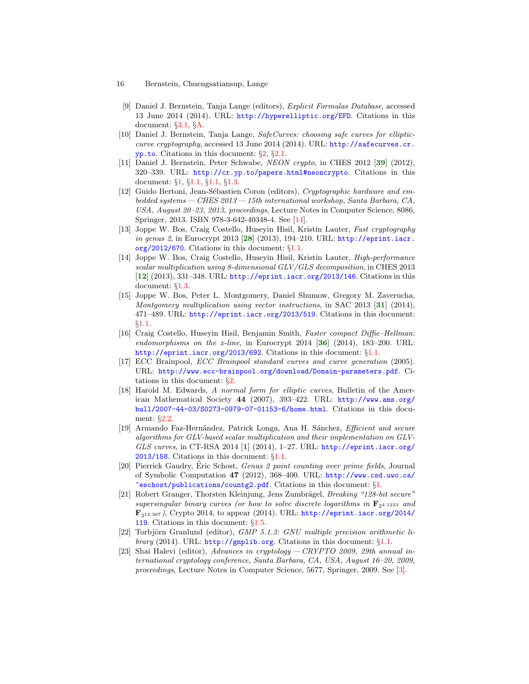- <span id="page-15-12"></span>16 Bernstein, Chuengsatiansup, Lange
	- [9] Daniel J. Bernstein, Tanja Lange (editors), Explicit Formulas Database, accessed 13 June 2014 (2014). URL: <http://hyperelliptic.org/EFD>. Citations in this document: §[3.1,](#page-8-1) §[A](#page-17-2).
- <span id="page-15-10"></span>[10] Daniel J. Bernstein, Tanja Lange, SafeCurves: choosing safe curves for ellipticcurve cryptography, accessed 13 June 2014 (2014). URL:  $\frac{http://safecurves.cr.}{http://safecurves.cr.}$  $\frac{http://safecurves.cr.}{http://safecurves.cr.}$  $\frac{http://safecurves.cr.}{http://safecurves.cr.}$ [yp.to](http://safecurves.cr.yp.to). Citations in this document: §[2](#page-6-1), §[2.1.](#page-6-2)
- <span id="page-15-20"></span><span id="page-15-0"></span>[11] Daniel J. Bernstein, Peter Schwabe, NEON crypto, in CHES 2012 [[39](#page-17-3)] (2012), 320–339. URL: <http://cr.yp.to/papers.html#neoncrypto>. Citations in this document: §[1](#page-0-2), §[1.1,](#page-1-5) §[1.1](#page-1-6), §[1.3.](#page-3-2)
- <span id="page-15-16"></span>[12] Guido Bertoni, Jean-Sébastien Coron (editors), Cryptographic hardware and embedded systems— CHES 2013— 15th international workshop, Santa Barbara, CA, USA, August 20–23, 2013, proceedings, Lecture Notes in Computer Science, 8086, Springer, 2013. ISBN 978-3-642-40348-4. See [[14\]](#page-15-15).
- <span id="page-15-17"></span><span id="page-15-4"></span>[13] Joppe W. Bos, Craig Costello, Huseyin Hisil, Kristin Lauter, Fast cryptography in genus 2, in Eurocrypt 2013 [[28](#page-16-10)] (2013), 194–210. URL: [http://eprint.iacr.](http://eprint.iacr.org/2012/670) [org/2012/670](http://eprint.iacr.org/2012/670). Citations in this document: §[1.1](#page-1-7).
- <span id="page-15-15"></span><span id="page-15-7"></span>[14] Joppe W. Bos, Craig Costello, Huseyin Hisil, Kristin Lauter, High-performance scalar multiplication using 8-dimensional GLV/GLS decomposition, in CHES 2013 [[12](#page-15-16)] (2013), 331–348. URL: <http://eprint.iacr.org/2013/146>. Citations in this document: §[1.3.](#page-3-3)
- <span id="page-15-18"></span><span id="page-15-3"></span>[15] Joppe W. Bos, Peter L. Montgomery, Daniel Shumow, Gregory M. Zaverucha, Montgomery multiplication using vector instructions, in SAC 2013 [[31](#page-16-11)] (2014), 471–489. URL: <http://eprint.iacr.org/2013/519>. Citations in this document: §[1.1.](#page-1-8)
- <span id="page-15-19"></span><span id="page-15-6"></span>[16] Craig Costello, Huseyin Hisil, Benjamin Smith, Faster compact Diffie–Hellman: endomorphisms on the x-line, in Eurocrypt 2014 [[36](#page-16-12)] (2014), 183–200. URL: <http://eprint.iacr.org/2013/692>. Citations in this document: §[1.1.](#page-1-9)
- <span id="page-15-9"></span>[17] ECC Brainpool, ECC Brainpool standard curves and curve generation (2005). URL: <http://www.ecc-brainpool.org/download/Domain-parameters.pdf>. Citations in this document: §[2.](#page-6-3)
- <span id="page-15-11"></span>[18] Harold M. Edwards, A normal form for elliptic curves, Bulletin of the American Mathematical Society 44 (2007), 393–422. URL: [http://www.ams.org/](http://www.ams.org/bull/2007-44-03/S0273-0979-07-01153-6/home.html) [bull/2007-44-03/S0273-0979-07-01153-6/home.html](http://www.ams.org/bull/2007-44-03/S0273-0979-07-01153-6/home.html). Citations in this document: §[2.2](#page-6-4).
- <span id="page-15-13"></span><span id="page-15-5"></span>[19] Armando Faz-Hernández, Patrick Longa, Ana H. Sánchez, Efficient and secure algorithms for GLV-based scalar multiplication and their implementation on GLV-GLS curves, in CT-RSA 20[1](#page-14-7)4 [1] (2014), 1-27. URL:  $http://eprint.iacr.org/$ [2013/158](http://eprint.iacr.org/2013/158). Citations in this document: §[1.1.](#page-1-10)
- <span id="page-15-1"></span>[20] Pierrick Gaudry, Éric Schost, Genus 2 point counting over prime fields, Journal of Symbolic Computation 47 (2012), 368–400. URL: [http://www.csd.uwo.ca/](http://www.csd.uwo.ca/~eschost/publications/countg2.pdf) [~eschost/publications/countg2.pdf](http://www.csd.uwo.ca/~eschost/publications/countg2.pdf). Citations in this document: §[1](#page-1-11).
- <span id="page-15-8"></span>[21] Robert Granger, Thorsten Kleinjung, Jens Zumbrägel, Breaking "128-bit secure" supersingular binary curves (or how to solve discrete logarithms in  $\mathbf{F}_{2^{4}}$ -1223 and  $\mathbf{F}_{212\cdot367}$ ), Crypto 2014, to appear (2014). URL: [http://eprint.iacr.org/2014/](http://eprint.iacr.org/2014/119) [119](http://eprint.iacr.org/2014/119). Citations in this document: §[1.5](#page-5-0).
- <span id="page-15-2"></span>[22] Torbjörn Granlund (editor), GMP 5.1.3: GNU multiple precision arithmetic library (2014). URL: <http://gmplib.org>. Citations in this document: §[1.1.](#page-1-12)
- <span id="page-15-14"></span>[23] Shai Halevi (editor), Advances in cryptology— CRYPTO 2009, 29th annual international cryptology conference, Santa Barbara, CA, USA, August 16–20, 2009, proceedings, Lecture Notes in Computer Science, 5677, Springer, 2009. See [[3](#page-14-8)].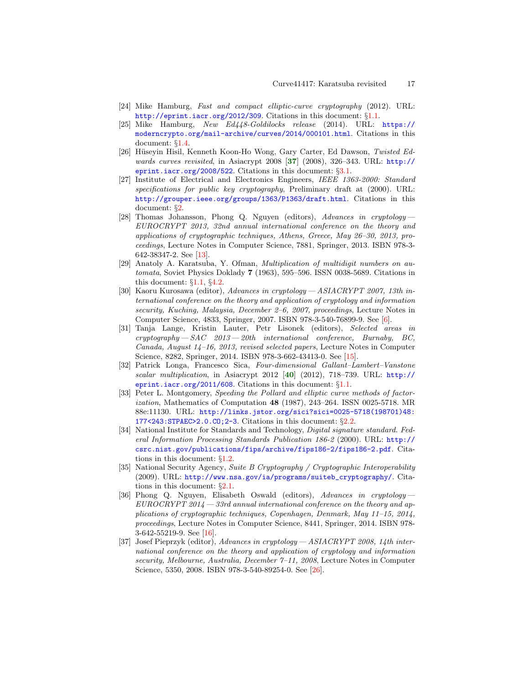- <span id="page-16-1"></span>[24] Mike Hamburg, Fast and compact elliptic-curve cryptography (2012). URL: <http://eprint.iacr.org/2012/309>. Citations in this document: §[1.1.](#page-1-13)
- <span id="page-16-4"></span>[25] Mike Hamburg, New Ed448-Goldilocks release (2014). URL: [https://](https://moderncrypto.org/mail-archive/curves/2014/000101.html) [moderncrypto.org/mail-archive/curves/2014/000101.html](https://moderncrypto.org/mail-archive/curves/2014/000101.html). Citations in this document: §[1.4.](#page-4-0)
- <span id="page-16-14"></span><span id="page-16-8"></span>[26] Hüseyin Hisil, Kenneth Koon-Ho Wong, Gary Carter, Ed Dawson, Twisted Edwards curves revisited, in Asiacrypt 2008 [[37](#page-16-13)] (2008), 326–343. URL: [http://](http://eprint.iacr.org/2008/522) [eprint.iacr.org/2008/522](http://eprint.iacr.org/2008/522). Citations in this document: §[3.1.](#page-8-2)
- <span id="page-16-5"></span>[27] Institute of Electrical and Electronics Engineers, IEEE 1363-2000: Standard specifications for public key cryptography, Preliminary draft at (2000). URL: <http://grouper.ieee.org/groups/1363/P1363/draft.html>. Citations in this document: §[2](#page-6-5).
- <span id="page-16-10"></span>[28] Thomas Johansson, Phong Q. Nguyen (editors), Advances in cryptology— EUROCRYPT 2013, 32nd annual international conference on the theory and applications of cryptographic techniques, Athens, Greece, May 26–30, 2013, proceedings, Lecture Notes in Computer Science, 7881, Springer, 2013. ISBN 978-3- 642-38347-2. See [[13\]](#page-15-17).
- <span id="page-16-0"></span>[29] Anatoly A. Karatsuba, Y. Ofman, Multiplication of multidigit numbers on automata, Soviet Physics Doklady 7 (1963), 595–596. ISSN 0038-5689. Citations in this document:  $\S1.1$ ,  $\S4.2$  $\S4.2$ .
- <span id="page-16-9"></span>[30] Kaoru Kurosawa (editor), Advances in cryptology— ASIACRYPT 2007, 13th international conference on the theory and application of cryptology and information security, Kuching, Malaysia, December 2–6, 2007, proceedings, Lecture Notes in Computer Science, 4833, Springer, 2007. ISBN 978-3-540-76899-9. See [\[6\]](#page-14-9).
- <span id="page-16-11"></span>[31] Tanja Lange, Kristin Lauter, Petr Lisonek (editors), Selected areas in  $cryptography - SAC 2013 - 20th$  international conference, Burnaby, BC, Canada, August 14–16, 2013, revised selected papers, Lecture Notes in Computer Science, 8282, Springer, 2014. ISBN 978-3-662-43413-0. See [[15\]](#page-15-18).
- <span id="page-16-15"></span><span id="page-16-2"></span>[32] Patrick Longa, Francesco Sica, Four-dimensional Gallant–Lambert–Vanstone scalar multiplication, in Asiacrypt 2012 [[40](#page-17-4)] (2012), 718–739. URL: [http://](http://eprint.iacr.org/2011/608) [eprint.iacr.org/2011/608](http://eprint.iacr.org/2011/608). Citations in this document: §[1.1.](#page-1-15)
- <span id="page-16-7"></span>[33] Peter L. Montgomery, Speeding the Pollard and elliptic curve methods of factorization, Mathematics of Computation  $48$  (1987), 243–264. ISSN 0025-5718. MR 88e:11130. URL: [http://links.jstor.org/sici?sici=0025-5718\(198701\)48:](http://links.jstor.org/sici?sici=0025-5718(198701)48:177<243:STPAEC>2.0.CO;2-3) [177<243:STPAEC>2.0.CO;2-3](http://links.jstor.org/sici?sici=0025-5718(198701)48:177<243:STPAEC>2.0.CO;2-3). Citations in this document: §[2.2.](#page-6-6)
- <span id="page-16-3"></span>[34] National Institute for Standards and Technology, Digital signature standard. Federal Information Processing Standards Publication 186-2 (2000). URL: [http://](http://csrc.nist.gov/publications/fips/archive/fips186-2/fips186-2.pdf) [csrc.nist.gov/publications/fips/archive/fips186-2/fips186-2.pdf](http://csrc.nist.gov/publications/fips/archive/fips186-2/fips186-2.pdf). Citations in this document: §[1.2.](#page-2-0)
- <span id="page-16-6"></span>[35] National Security Agency, Suite B Cryptography / Cryptographic Interoperability (2009). URL: [http://www.nsa.gov/ia/programs/suiteb\\_cryptography/](http://www.nsa.gov/ia/programs/suiteb_cryptography/). Citations in this document: §[2.1.](#page-6-7)
- <span id="page-16-12"></span>[36] Phong Q. Nguyen, Elisabeth Oswald (editors), Advances in cryptology—  $EUROCRYPT 2014 - 33rd$  annual international conference on the theory and applications of cryptographic techniques, Copenhagen, Denmark, May 11–15, 2014, proceedings, Lecture Notes in Computer Science, 8441, Springer, 2014. ISBN 978- 3-642-55219-9. See [[16\]](#page-15-19).
- <span id="page-16-13"></span>[37] Josef Pieprzyk (editor), Advances in cryptology— ASIACRYPT 2008, 14th international conference on the theory and application of cryptology and information security, Melbourne, Australia, December 7-11, 2008, Lecture Notes in Computer Science, 5350, 2008. ISBN 978-3-540-89254-0. See [\[26\]](#page-16-14).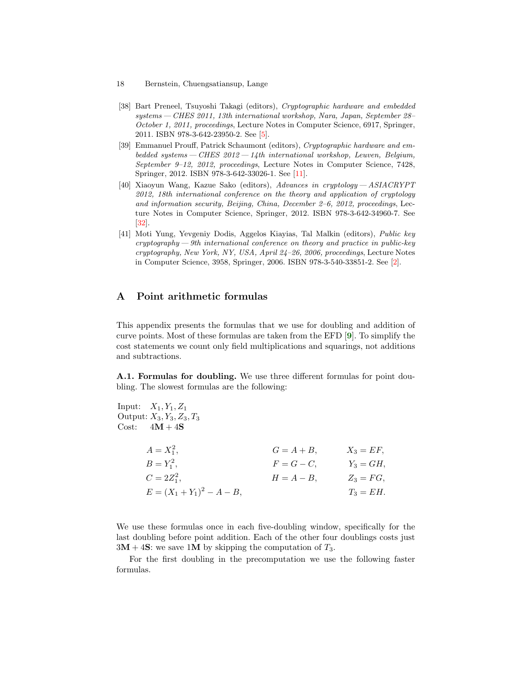- 18 Bernstein, Chuengsatiansup, Lange
- <span id="page-17-1"></span>[38] Bart Preneel, Tsuyoshi Takagi (editors), Cryptographic hardware and embedded systems— CHES 2011, 13th international workshop, Nara, Japan, September 28– October 1, 2011, proceedings, Lecture Notes in Computer Science, 6917, Springer, 2011. ISBN 978-3-642-23950-2. See [\[5\]](#page-14-10).
- <span id="page-17-3"></span>[39] Emmanuel Prouff, Patrick Schaumont (editors), Cryptographic hardware and embedded systems  $-CHES$  2012  $-14$ th international workshop, Leuven, Belgium, September 9–12, 2012, proceedings, Lecture Notes in Computer Science, 7428, Springer, 2012. ISBN 978-3-642-33026-1. See [[11\]](#page-15-20).
- <span id="page-17-4"></span>[40] Xiaoyun Wang, Kazue Sako (editors), Advances in cryptology— ASIACRYPT 2012, 18th international conference on the theory and application of cryptology and information security, Beijing, China, December 2–6, 2012, proceedings, Lecture Notes in Computer Science, Springer, 2012. ISBN 978-3-642-34960-7. See [\[32](#page-16-15)].
- <span id="page-17-0"></span>[41] Moti Yung, Yevgeniy Dodis, Aggelos Kiayias, Tal Malkin (editors), Public key  $cryptography—9th$  international conference on theory and practice in public-key cryptography, New York, NY, USA, April 24–26, 2006, proceedings, Lecture Notes in Computer Science, 3958, Springer, 2006. ISBN 978-3-540-33851-2. See [[2\]](#page-14-11).

# A Point arithmetic formulas

<span id="page-17-2"></span>This appendix presents the formulas that we use for doubling and addition of curve points. Most of these formulas are taken from the EFD [[9](#page-15-12)]. To simplify the cost statements we count only field multiplications and squarings, not additions and subtractions.

A.1. Formulas for doubling. We use three different formulas for point doubling. The slowest formulas are the following:

| Input: $X_1, Y_1, Z_1$<br>Output: $X_3, Y_3, Z_3, T_3$<br>Cost:<br>$4M + 4S$ |               |              |
|------------------------------------------------------------------------------|---------------|--------------|
| $A = X_1^2$ ,                                                                | $G=A+B$ .     | $X_3 = EF$   |
| $B = Y_1^2$ ,                                                                | $F=G-C$ .     | $Y_3 = GH$ , |
| $C = 2Z_1^2$ ,                                                               | $H = A - B$ , | $Z_3 = FG$ . |
| $E = (X_1 + Y_1)^2 - A - B,$                                                 |               | $T_3 = EH.$  |
|                                                                              |               |              |

We use these formulas once in each five-doubling window, specifically for the last doubling before point addition. Each of the other four doublings costs just  $3M + 4S$ : we save 1M by skipping the computation of  $T_3$ .

For the first doubling in the precomputation we use the following faster formulas.